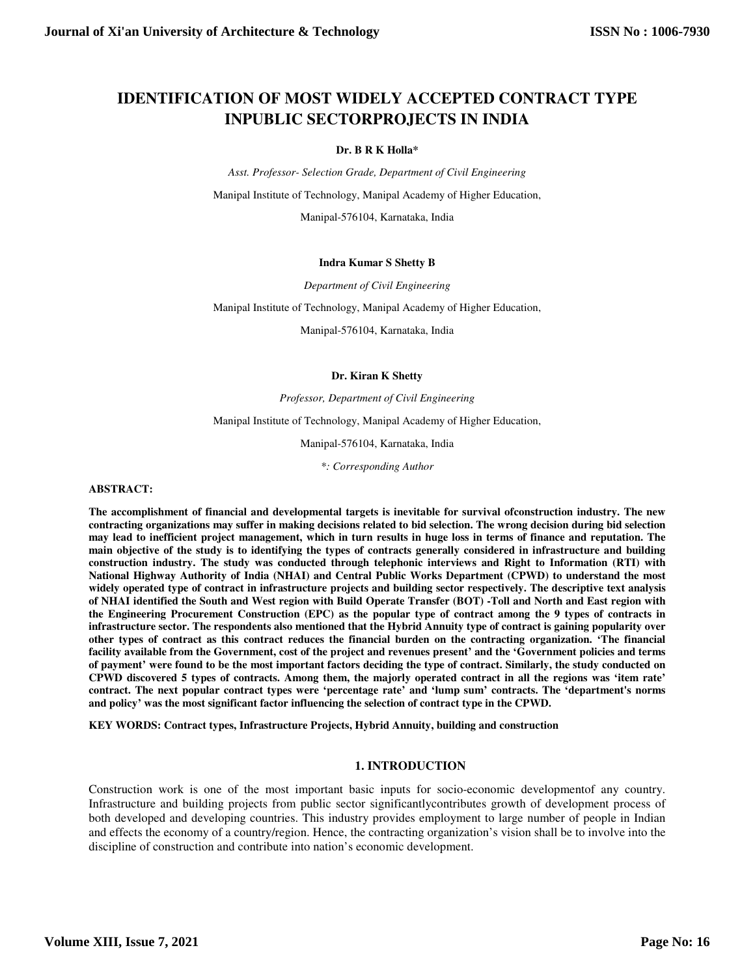# **IDENTIFICATION OF MOST WIDELY ACCEPTED CONTRACT TYPE INPUBLIC SECTORPROJECTS IN INDIA**

#### **Dr. B R K Holla\***

*Asst. Professor- Selection Grade, Department of Civil Engineering* 

Manipal Institute of Technology, Manipal Academy of Higher Education,

Manipal-576104, Karnataka, India

#### **Indra Kumar S Shetty B**

*Department of Civil Engineering* 

Manipal Institute of Technology, Manipal Academy of Higher Education,

Manipal-576104, Karnataka, India

#### **Dr. Kiran K Shetty**

*Professor, Department of Civil Engineering* 

Manipal Institute of Technology, Manipal Academy of Higher Education,

Manipal-576104, Karnataka, India

*\*: Corresponding Author*

#### **ABSTRACT:**

**The accomplishment of financial and developmental targets is inevitable for survival ofconstruction industry. The new contracting organizations may suffer in making decisions related to bid selection. The wrong decision during bid selection may lead to inefficient project management, which in turn results in huge loss in terms of finance and reputation. The main objective of the study is to identifying the types of contracts generally considered in infrastructure and building construction industry. The study was conducted through telephonic interviews and Right to Information (RTI) with National Highway Authority of India (NHAI) and Central Public Works Department (CPWD) to understand the most widely operated type of contract in infrastructure projects and building sector respectively. The descriptive text analysis of NHAI identified the South and West region with Build Operate Transfer (BOT) -Toll and North and East region with the Engineering Procurement Construction (EPC) as the popular type of contract among the 9 types of contracts in infrastructure sector. The respondents also mentioned that the Hybrid Annuity type of contract is gaining popularity over other types of contract as this contract reduces the financial burden on the contracting organization. 'The financial facility available from the Government, cost of the project and revenues present' and the 'Government policies and terms of payment' were found to be the most important factors deciding the type of contract. Similarly, the study conducted on CPWD discovered 5 types of contracts. Among them, the majorly operated contract in all the regions was 'item rate' contract. The next popular contract types were 'percentage rate' and 'lump sum' contracts. The 'department's norms and policy' was the most significant factor influencing the selection of contract type in the CPWD.** 

**KEY WORDS: Contract types, Infrastructure Projects, Hybrid Annuity, building and construction** 

## **1. INTRODUCTION**

Construction work is one of the most important basic inputs for socio-economic developmentof any country. Infrastructure and building projects from public sector significantlycontributes growth of development process of both developed and developing countries. This industry provides employment to large number of people in Indian and effects the economy of a country/region. Hence, the contracting organization's vision shall be to involve into the discipline of construction and contribute into nation's economic development.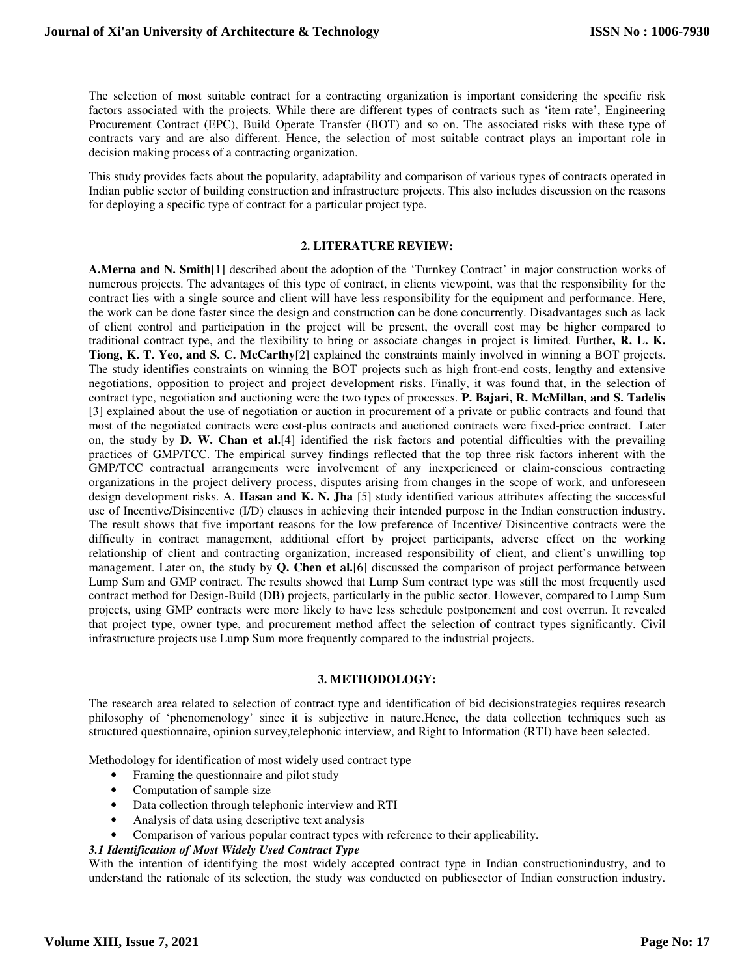The selection of most suitable contract for a contracting organization is important considering the specific risk factors associated with the projects. While there are different types of contracts such as 'item rate', Engineering Procurement Contract (EPC), Build Operate Transfer (BOT) and so on. The associated risks with these type of contracts vary and are also different. Hence, the selection of most suitable contract plays an important role in decision making process of a contracting organization.

This study provides facts about the popularity, adaptability and comparison of various types of contracts operated in Indian public sector of building construction and infrastructure projects. This also includes discussion on the reasons for deploying a specific type of contract for a particular project type.

### **2. LITERATURE REVIEW:**

**A.Merna and N. Smith**[1] described about the adoption of the 'Turnkey Contract' in major construction works of numerous projects. The advantages of this type of contract, in clients viewpoint, was that the responsibility for the contract lies with a single source and client will have less responsibility for the equipment and performance. Here, the work can be done faster since the design and construction can be done concurrently. Disadvantages such as lack of client control and participation in the project will be present, the overall cost may be higher compared to traditional contract type, and the flexibility to bring or associate changes in project is limited. Further**, R. L. K. Tiong, K. T. Yeo, and S. C. McCarthy**[2] explained the constraints mainly involved in winning a BOT projects. The study identifies constraints on winning the BOT projects such as high front-end costs, lengthy and extensive negotiations, opposition to project and project development risks. Finally, it was found that, in the selection of contract type, negotiation and auctioning were the two types of processes. **P. Bajari, R. McMillan, and S. Tadelis** [3] explained about the use of negotiation or auction in procurement of a private or public contracts and found that most of the negotiated contracts were cost-plus contracts and auctioned contracts were fixed-price contract. Later on, the study by **D. W. Chan et al.**[4] identified the risk factors and potential difficulties with the prevailing practices of GMP/TCC. The empirical survey findings reflected that the top three risk factors inherent with the GMP/TCC contractual arrangements were involvement of any inexperienced or claim-conscious contracting organizations in the project delivery process, disputes arising from changes in the scope of work, and unforeseen design development risks. A. **Hasan and K. N. Jha** [5] study identified various attributes affecting the successful use of Incentive/Disincentive (I/D) clauses in achieving their intended purpose in the Indian construction industry. The result shows that five important reasons for the low preference of Incentive/ Disincentive contracts were the difficulty in contract management, additional effort by project participants, adverse effect on the working relationship of client and contracting organization, increased responsibility of client, and client's unwilling top management. Later on, the study by **Q. Chen et al.**[6] discussed the comparison of project performance between Lump Sum and GMP contract. The results showed that Lump Sum contract type was still the most frequently used contract method for Design-Build (DB) projects, particularly in the public sector. However, compared to Lump Sum projects, using GMP contracts were more likely to have less schedule postponement and cost overrun. It revealed that project type, owner type, and procurement method affect the selection of contract types significantly. Civil infrastructure projects use Lump Sum more frequently compared to the industrial projects.

### **3. METHODOLOGY:**

The research area related to selection of contract type and identification of bid decisionstrategies requires research philosophy of 'phenomenology' since it is subjective in nature.Hence, the data collection techniques such as structured questionnaire, opinion survey,telephonic interview, and Right to Information (RTI) have been selected.

Methodology for identification of most widely used contract type

- Framing the questionnaire and pilot study
- Computation of sample size
- Data collection through telephonic interview and RTI
- Analysis of data using descriptive text analysis
- Comparison of various popular contract types with reference to their applicability.

## *3.1 Identification of Most Widely Used Contract Type*

With the intention of identifying the most widely accepted contract type in Indian constructionindustry, and to understand the rationale of its selection, the study was conducted on publicsector of Indian construction industry.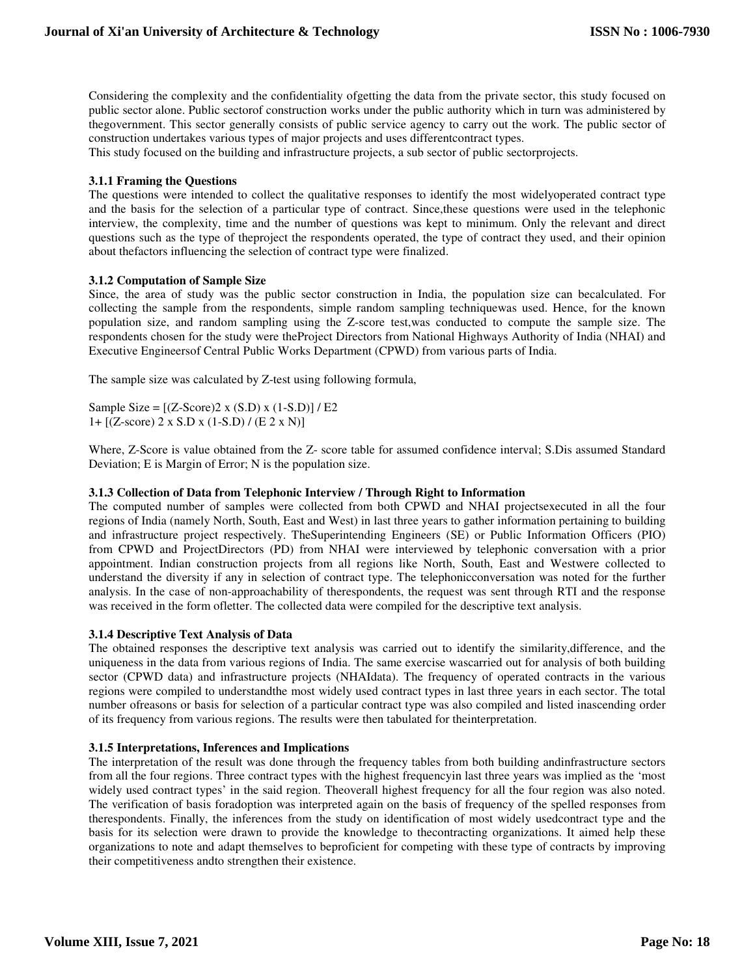Considering the complexity and the confidentiality ofgetting the data from the private sector, this study focused on public sector alone. Public sectorof construction works under the public authority which in turn was administered by thegovernment. This sector generally consists of public service agency to carry out the work. The public sector of construction undertakes various types of major projects and uses differentcontract types.

This study focused on the building and infrastructure projects, a sub sector of public sectorprojects.

## **3.1.1 Framing the Questions**

The questions were intended to collect the qualitative responses to identify the most widelyoperated contract type and the basis for the selection of a particular type of contract. Since,these questions were used in the telephonic interview, the complexity, time and the number of questions was kept to minimum. Only the relevant and direct questions such as the type of theproject the respondents operated, the type of contract they used, and their opinion about thefactors influencing the selection of contract type were finalized.

## **3.1.2 Computation of Sample Size**

Since, the area of study was the public sector construction in India, the population size can becalculated. For collecting the sample from the respondents, simple random sampling techniquewas used. Hence, for the known population size, and random sampling using the Z-score test,was conducted to compute the sample size. The respondents chosen for the study were theProject Directors from National Highways Authority of India (NHAI) and Executive Engineersof Central Public Works Department (CPWD) from various parts of India.

The sample size was calculated by Z-test using following formula,

Sample Size =  $[(Z-Score)2 \times (S.D) \times (1-S.D)]$  / E2 1+ [(Z-score) 2 x S.D x (1-S.D) / (E 2 x N)]

Where, Z-Score is value obtained from the Z- score table for assumed confidence interval; S.Dis assumed Standard Deviation; E is Margin of Error; N is the population size.

## **3.1.3 Collection of Data from Telephonic Interview / Through Right to Information**

The computed number of samples were collected from both CPWD and NHAI projectsexecuted in all the four regions of India (namely North, South, East and West) in last three years to gather information pertaining to building and infrastructure project respectively. TheSuperintending Engineers (SE) or Public Information Officers (PIO) from CPWD and ProjectDirectors (PD) from NHAI were interviewed by telephonic conversation with a prior appointment. Indian construction projects from all regions like North, South, East and Westwere collected to understand the diversity if any in selection of contract type. The telephonicconversation was noted for the further analysis. In the case of non-approachability of therespondents, the request was sent through RTI and the response was received in the form ofletter. The collected data were compiled for the descriptive text analysis.

### **3.1.4 Descriptive Text Analysis of Data**

The obtained responses the descriptive text analysis was carried out to identify the similarity,difference, and the uniqueness in the data from various regions of India. The same exercise wascarried out for analysis of both building sector (CPWD data) and infrastructure projects (NHAIdata). The frequency of operated contracts in the various regions were compiled to understandthe most widely used contract types in last three years in each sector. The total number ofreasons or basis for selection of a particular contract type was also compiled and listed inascending order of its frequency from various regions. The results were then tabulated for theinterpretation.

### **3.1.5 Interpretations, Inferences and Implications**

The interpretation of the result was done through the frequency tables from both building andinfrastructure sectors from all the four regions. Three contract types with the highest frequencyin last three years was implied as the 'most widely used contract types' in the said region. Theoverall highest frequency for all the four region was also noted. The verification of basis foradoption was interpreted again on the basis of frequency of the spelled responses from therespondents. Finally, the inferences from the study on identification of most widely usedcontract type and the basis for its selection were drawn to provide the knowledge to thecontracting organizations. It aimed help these organizations to note and adapt themselves to beproficient for competing with these type of contracts by improving their competitiveness andto strengthen their existence.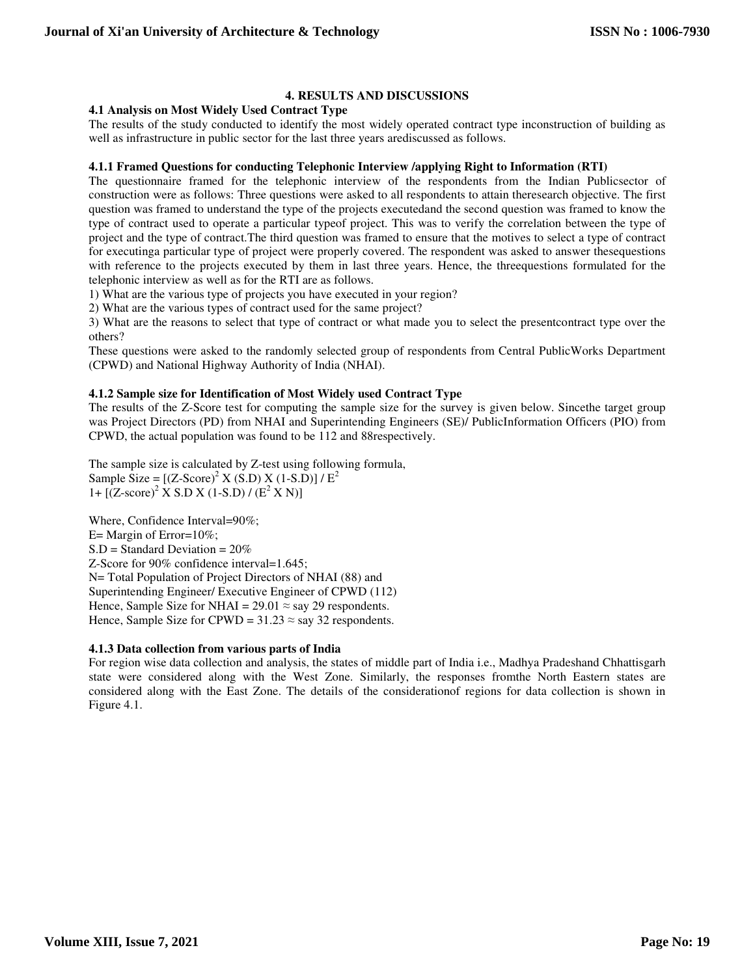# **4. RESULTS AND DISCUSSIONS**

## **4.1 Analysis on Most Widely Used Contract Type**

The results of the study conducted to identify the most widely operated contract type inconstruction of building as well as infrastructure in public sector for the last three years arediscussed as follows.

## **4.1.1 Framed Questions for conducting Telephonic Interview /applying Right to Information (RTI)**

The questionnaire framed for the telephonic interview of the respondents from the Indian Publicsector of construction were as follows: Three questions were asked to all respondents to attain theresearch objective. The first question was framed to understand the type of the projects executedand the second question was framed to know the type of contract used to operate a particular typeof project. This was to verify the correlation between the type of project and the type of contract.The third question was framed to ensure that the motives to select a type of contract for executinga particular type of project were properly covered. The respondent was asked to answer thesequestions with reference to the projects executed by them in last three years. Hence, the three questions formulated for the telephonic interview as well as for the RTI are as follows.

1) What are the various type of projects you have executed in your region?

2) What are the various types of contract used for the same project?

3) What are the reasons to select that type of contract or what made you to select the presentcontract type over the others?

These questions were asked to the randomly selected group of respondents from Central PublicWorks Department (CPWD) and National Highway Authority of India (NHAI).

## **4.1.2 Sample size for Identification of Most Widely used Contract Type**

The results of the Z-Score test for computing the sample size for the survey is given below. Sincethe target group was Project Directors (PD) from NHAI and Superintending Engineers (SE)/ PublicInformation Officers (PIO) from CPWD, the actual population was found to be 112 and 88respectively.

The sample size is calculated by Z-test using following formula, Sample Size =  $[(Z\text{-Score})^2 \times (S.D) \times (1-S.D)] / E^2$ 1+  $[(Z-score)^2$  X S.D X (1-S.D) /  $(E^2$  X N)]

Where, Confidence Interval=90%; E= Margin of Error=10%;  $S.D = Standard Deviation = 20%$ Z-Score for 90% confidence interval=1.645; N= Total Population of Project Directors of NHAI (88) and Superintending Engineer/ Executive Engineer of CPWD (112) Hence, Sample Size for NHAI =  $29.01 \approx$  say 29 respondents. Hence, Sample Size for CPWD =  $31.23 \approx$  say 32 respondents.

# **4.1.3 Data collection from various parts of India**

For region wise data collection and analysis, the states of middle part of India i.e., Madhya Pradeshand Chhattisgarh state were considered along with the West Zone. Similarly, the responses fromthe North Eastern states are considered along with the East Zone. The details of the considerationof regions for data collection is shown in Figure 4.1.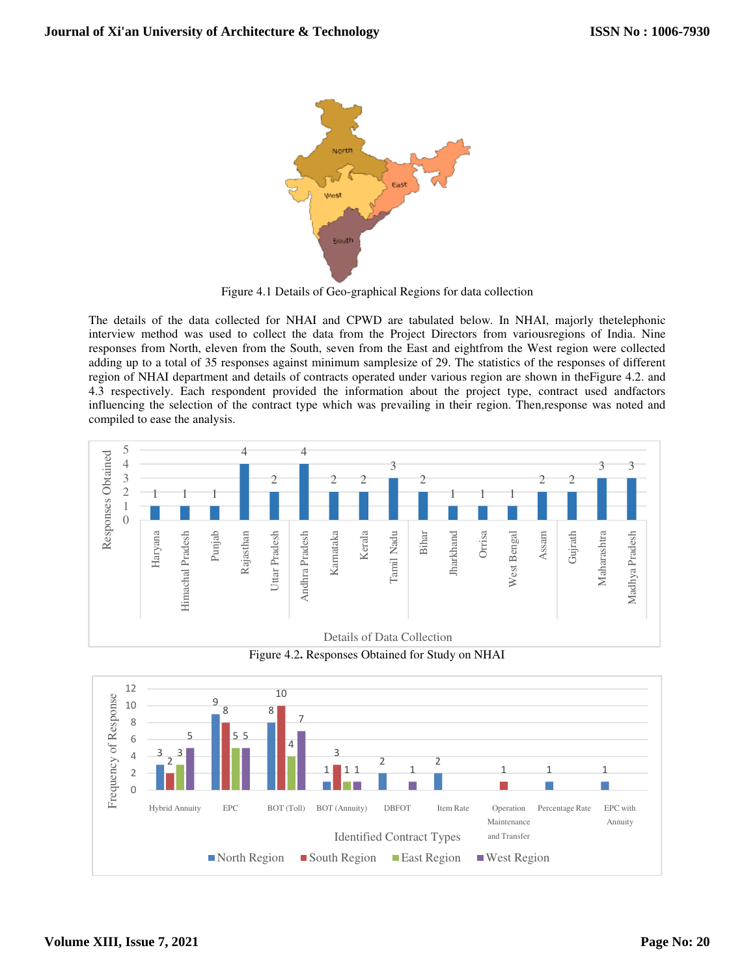

Figure 4.1 Details of Geo-graphical Regions for data collection

The details of the data collected for NHAI and CPWD are tabulated below. In NHAI, majorly thetelephonic interview method was used to collect the data from the Project Directors from variousregions of India. Nine responses from North, eleven from the South, seven from the East and eightfrom the West region were collected adding up to a total of 35 responses against minimum samplesize of 29. The statistics of the responses of different region of NHAI department and details of contracts operated under various region are shown in theFigure 4.2. and 4.3 respectively. Each respondent provided the information about the project type, contract used andfactors influencing the selection of the contract type which was prevailing in their region. Then,response was noted and compiled to ease the analysis.



Figure 4.2**.** Responses Obtained for Study on NHAI

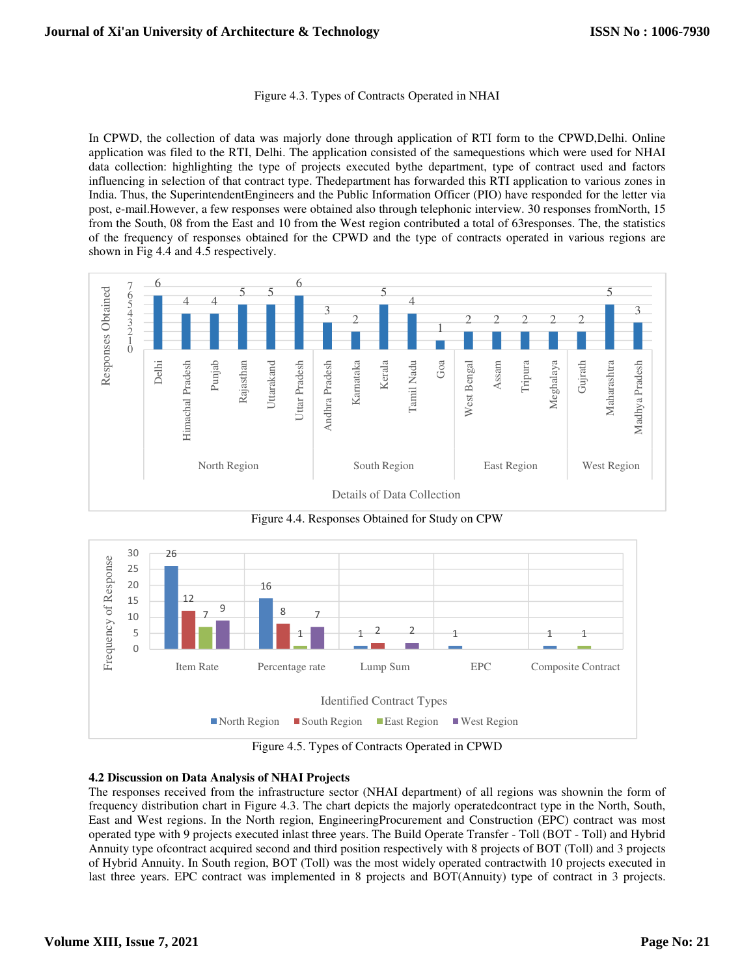#### Figure 4.3. Types of Contracts Operated in NHAI

In CPWD, the collection of data was majorly done through application of RTI form to the CPWD,Delhi. Online application was filed to the RTI, Delhi. The application consisted of the samequestions which were used for NHAI data collection: highlighting the type of projects executed bythe department, type of contract used and factors influencing in selection of that contract type. Thedepartment has forwarded this RTI application to various zones in India. Thus, the SuperintendentEngineers and the Public Information Officer (PIO) have responded for the letter via post, e-mail.However, a few responses were obtained also through telephonic interview. 30 responses fromNorth, 15 from the South, 08 from the East and 10 from the West region contributed a total of 63responses. The, the statistics of the frequency of responses obtained for the CPWD and the type of contracts operated in various regions are shown in Fig 4.4 and 4.5 respectively.



Figure 4.4. Responses Obtained for Study on CPW



Figure 4.5. Types of Contracts Operated in CPWD

# **4.2 Discussion on Data Analysis of NHAI Projects**

The responses received from the infrastructure sector (NHAI department) of all regions was shownin the form of frequency distribution chart in Figure 4.3. The chart depicts the majorly operatedcontract type in the North, South, East and West regions. In the North region, EngineeringProcurement and Construction (EPC) contract was most operated type with 9 projects executed inlast three years. The Build Operate Transfer - Toll (BOT - Toll) and Hybrid Annuity type ofcontract acquired second and third position respectively with 8 projects of BOT (Toll) and 3 projects of Hybrid Annuity. In South region, BOT (Toll) was the most widely operated contractwith 10 projects executed in last three years. EPC contract was implemented in 8 projects and BOT(Annuity) type of contract in 3 projects.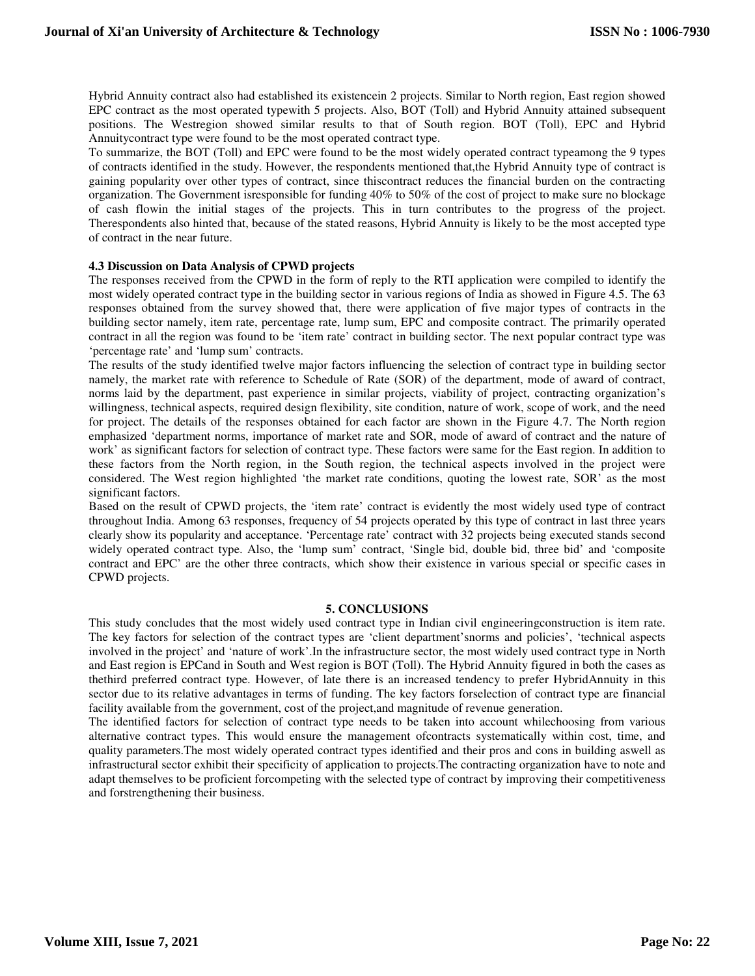Hybrid Annuity contract also had established its existencein 2 projects. Similar to North region, East region showed EPC contract as the most operated typewith 5 projects. Also, BOT (Toll) and Hybrid Annuity attained subsequent positions. The Westregion showed similar results to that of South region. BOT (Toll), EPC and Hybrid Annuitycontract type were found to be the most operated contract type.

To summarize, the BOT (Toll) and EPC were found to be the most widely operated contract typeamong the 9 types of contracts identified in the study. However, the respondents mentioned that,the Hybrid Annuity type of contract is gaining popularity over other types of contract, since thiscontract reduces the financial burden on the contracting organization. The Government isresponsible for funding 40% to 50% of the cost of project to make sure no blockage of cash flowin the initial stages of the projects. This in turn contributes to the progress of the project. Therespondents also hinted that, because of the stated reasons, Hybrid Annuity is likely to be the most accepted type of contract in the near future.

### **4.3 Discussion on Data Analysis of CPWD projects**

The responses received from the CPWD in the form of reply to the RTI application were compiled to identify the most widely operated contract type in the building sector in various regions of India as showed in Figure 4.5. The 63 responses obtained from the survey showed that, there were application of five major types of contracts in the building sector namely, item rate, percentage rate, lump sum, EPC and composite contract. The primarily operated contract in all the region was found to be 'item rate' contract in building sector. The next popular contract type was 'percentage rate' and 'lump sum' contracts.

The results of the study identified twelve major factors influencing the selection of contract type in building sector namely, the market rate with reference to Schedule of Rate (SOR) of the department, mode of award of contract, norms laid by the department, past experience in similar projects, viability of project, contracting organization's willingness, technical aspects, required design flexibility, site condition, nature of work, scope of work, and the need for project. The details of the responses obtained for each factor are shown in the Figure 4.7. The North region emphasized 'department norms, importance of market rate and SOR, mode of award of contract and the nature of work' as significant factors for selection of contract type. These factors were same for the East region. In addition to these factors from the North region, in the South region, the technical aspects involved in the project were considered. The West region highlighted 'the market rate conditions, quoting the lowest rate, SOR' as the most significant factors.

Based on the result of CPWD projects, the 'item rate' contract is evidently the most widely used type of contract throughout India. Among 63 responses, frequency of 54 projects operated by this type of contract in last three years clearly show its popularity and acceptance. 'Percentage rate' contract with 32 projects being executed stands second widely operated contract type. Also, the 'lump sum' contract, 'Single bid, double bid, three bid' and 'composite contract and EPC' are the other three contracts, which show their existence in various special or specific cases in CPWD projects.

## **5. CONCLUSIONS**

This study concludes that the most widely used contract type in Indian civil engineeringconstruction is item rate. The key factors for selection of the contract types are 'client department'snorms and policies', 'technical aspects involved in the project' and 'nature of work'.In the infrastructure sector, the most widely used contract type in North and East region is EPCand in South and West region is BOT (Toll). The Hybrid Annuity figured in both the cases as thethird preferred contract type. However, of late there is an increased tendency to prefer HybridAnnuity in this sector due to its relative advantages in terms of funding. The key factors forselection of contract type are financial facility available from the government, cost of the project,and magnitude of revenue generation.

The identified factors for selection of contract type needs to be taken into account whilechoosing from various alternative contract types. This would ensure the management ofcontracts systematically within cost, time, and quality parameters.The most widely operated contract types identified and their pros and cons in building aswell as infrastructural sector exhibit their specificity of application to projects.The contracting organization have to note and adapt themselves to be proficient forcompeting with the selected type of contract by improving their competitiveness and forstrengthening their business.